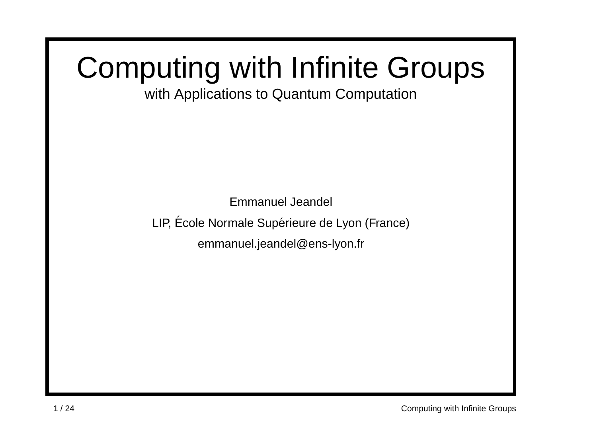## Computing with Infinite Groups

with Applications to Quantum Computation

Emmanuel Jeandel LIP, École Normale Supérieure de Lyon (France) emmanuel.jeandel@ens-lyon.fr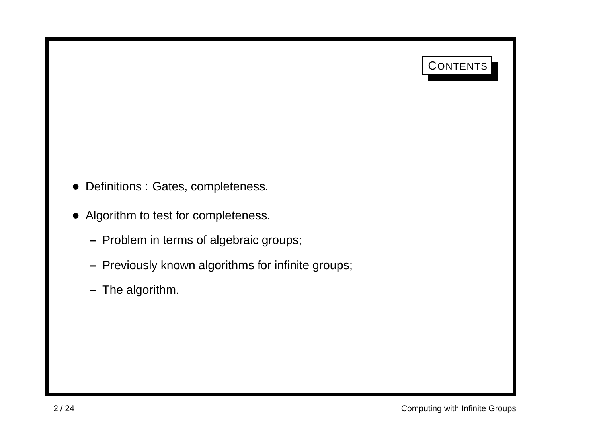## CONTENTS

- Definitions : Gates, completeness.
- Algorithm to test for completeness.
	- **–** Problem in terms of algebraic groups;
	- **–** Previously known algorithms for infinite groups;
	- **–** The algorithm.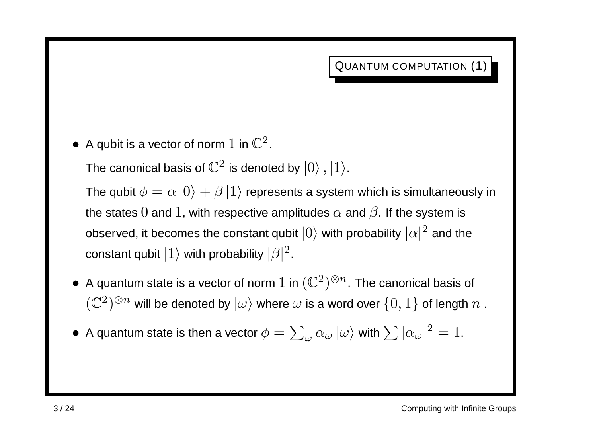QUANTUM COMPUTATION (1)

• A qubit is a vector of norm 1 in  $\mathbb{C}^2$ .

The canonical basis of  $\mathbb{C}^2$  is denoted by  $|0\rangle$  ,  $|1\rangle$ .

The qubit  $\phi = \alpha |0\rangle + \beta |1\rangle$  represents a system which is simultaneously in the states 0 and 1, with respective amplitudes  $\alpha$  and  $\beta$ . If the system is observed, it becomes the constant qubit  $|0\rangle$  with probability  $|\alpha|^2$  and the constant qubit  $|1\rangle$  with probability  $|\beta|^2$ .

- A quantum state is a vector of norm  $1$  in  $(\mathbb{C}^2)^{\otimes n}$ . The canonical basis of  $\mathcal{L}(\mathbb{C}^2)^{\otimes n}$  will be denoted by  $|\omega\rangle$  where  $\omega$  is a word over  $\{0,1\}$  of length  $n$ .
- A quantum state is then a vector  $\phi = \sum_{\omega} \alpha_{\omega} |\omega\rangle$  with  $\sum |\alpha_{\omega}|^2 = 1$ .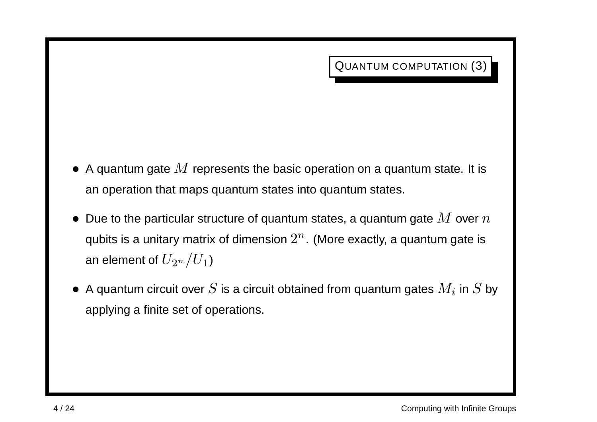- $\bullet$  A quantum gate  $M$  represents the basic operation on a quantum state. It is an operation that maps quantum states into quantum states.
- Due to the particular structure of quantum states, a quantum gate  $M$  over  $n$ qubits is a unitary matrix of dimension  $2^n$ . (More exactly, a quantum gate is an element of  $U_{2^n}/U_1$ )
- A quantum circuit over S is a circuit obtained from quantum gates  $M_i$  in S by applying <sup>a</sup> finite set of operations.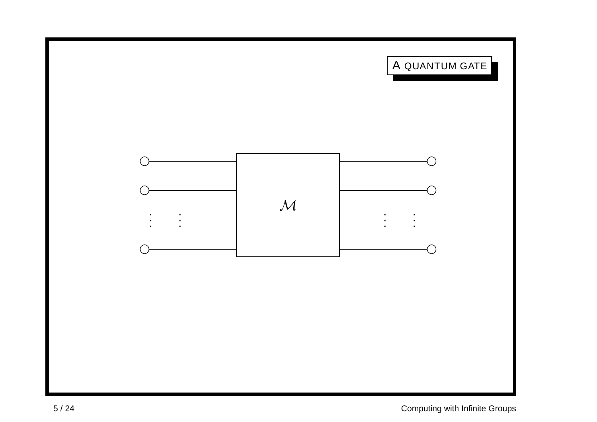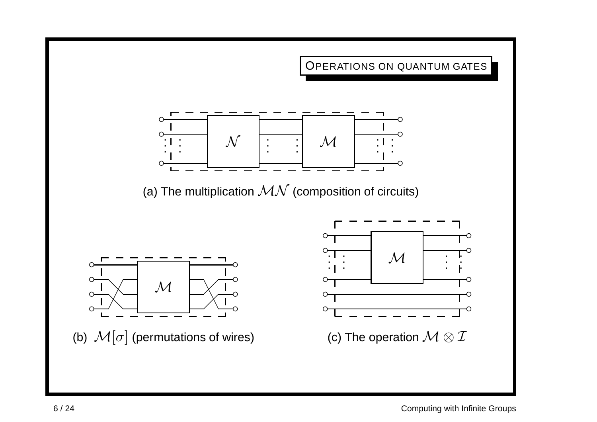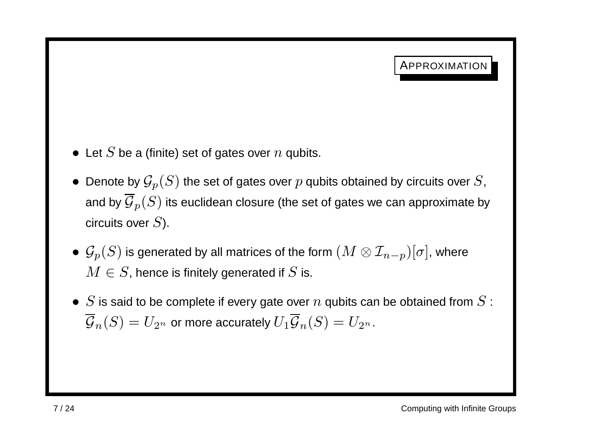- Let S be a (finite) set of gates over  $n$  qubits.
- Denote by  $\mathcal{G}_p(S)$  the set of gates over  $p$  qubits obtained by circuits over  $S$ , and by  $\overline{\mathcal{G}}_p(S)$  its euclidean closure (the set of gates we can approximate by circuits over  $S$ ).
- $\bullet \ \mathcal{G}_p(S)$  is generated by all matrices of the form  $(M \otimes \mathcal{I}_{n-p})[\sigma],$  where  $M \in S$ , hence is finitely generated if S is.
- S is said to be complete if every gate over  $n$  qubits can be obtained from S :  $\overline{\mathcal{G}}_n(S) = U_{2^n}$  or more accurately  $U_1 \overline{\mathcal{G}}_n(S) = U_{2^n}$ .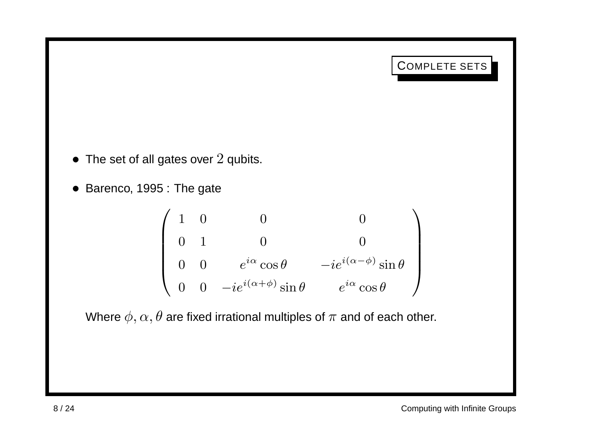## COMPLETE SETS

- The set of all gates over  $2$  qubits.
- Barenco, 1995 : The gate

$$
\left(\begin{array}{cccc} 1 & 0 & 0 & 0 \\ 0 & 1 & 0 & 0 \\ 0 & 0 & e^{i\alpha}\cos\theta & -ie^{i(\alpha-\phi)}\sin\theta \\ 0 & 0 & -ie^{i(\alpha+\phi)}\sin\theta & e^{i\alpha}\cos\theta \end{array}\right)
$$

Where  $\phi, \alpha, \theta$  are fixed irrational multiples of  $\pi$  and of each other.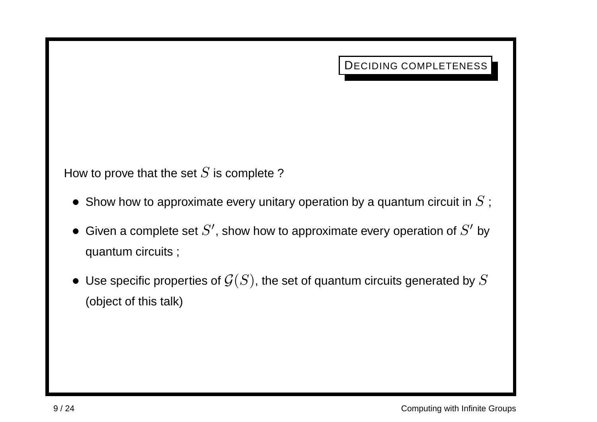DECIDING COMPLETENESS

How to prove that the set  $S$  is complete?

- Show how to approximate every unitary operation by a quantum circuit in  $S$ ;
- Given a complete set  $S'$ , show how to approximate every operation of  $S'$  by quantum circuits ;
- Use specific properties of  $\mathcal{G}(S)$ , the set of quantum circuits generated by  $S$ (object of this talk)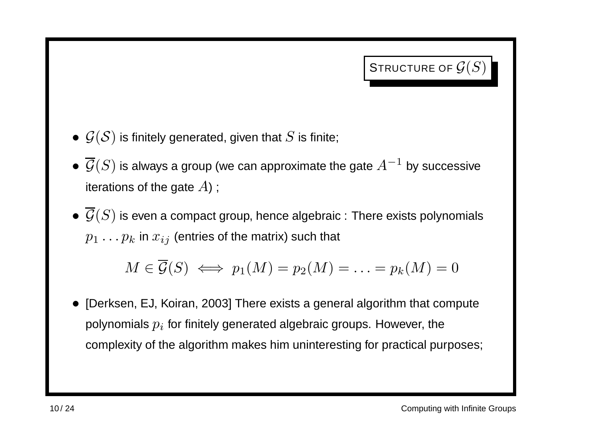STRUCTURE OF  $\mathcal{G}(S)$ 

- $\bullet \,\,{\cal G}({\cal S})$  is finitely generated, given that  $S$  is finite;
- $\overline{\mathcal{G}}(S)$  is always a group (we can approximate the gate  $A^{-1}$  by successive iterations of the gate  $A$ );
- $\bullet \ \overline{\mathcal{G}}(S)$  is even a compact group, hence algebraic : There exists polynomials  $p_1 \ldots p_k$  in  $x_{ij}$  (entries of the matrix) such that

$$
M \in \overline{\mathcal{G}}(S) \iff p_1(M) = p_2(M) = \ldots = p_k(M) = 0
$$

• [Derksen, EJ, Koiran, 2003] There exists <sup>a</sup> general algorithm that compute polynomials  $p_i$  for finitely generated algebraic groups. However, the complexity of the algorithm makes him uninteresting for practical purposes;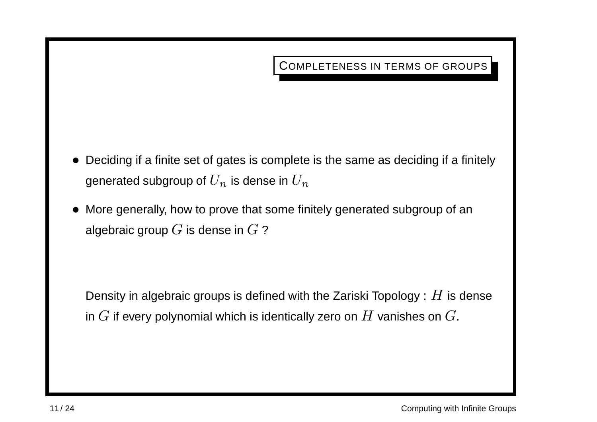COMPLETENESS IN TERMS OF GROUPS

- Deciding if <sup>a</sup> finite set of gates is complete is the same as deciding if <sup>a</sup> finitely generated subgroup of  $U_n$  is dense in  $U_n$
- More generally, how to prove that some finitely generated subgroup of an algebraic group  $G$  is dense in  $G$  ?

Density in algebraic groups is defined with the Zariski Topology :  $H$  is dense in  $G$  if every polynomial which is identically zero on  $H$  vanishes on  $G$ .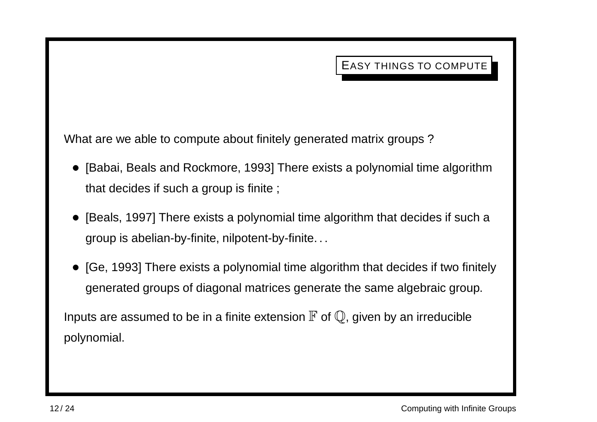What are we able to compute about finitely generated matrix groups ?

- [Babai, Beals and Rockmore, 1993] There exists <sup>a</sup> polynomial time algorithm that decides if such <sup>a</sup> group is finite ;
- [Beals, 1997] There exists <sup>a</sup> polynomial time algorithm that decides if such <sup>a</sup> group is abelian-by-finite, nilpotent-by-finite. . .
- [Ge, 1993] There exists <sup>a</sup> polynomial time algorithm that decides if two finitely generated groups of diagonal matrices generate the same algebraic group.

Inputs are assumed to be in a finite extension  $\mathbb F$  of  $\mathbb Q$ , given by an irreducible polynomial.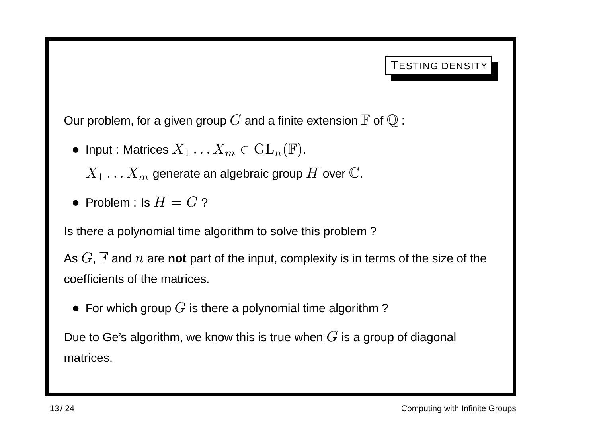Our problem, for a given group  $G$  and a finite extension  $\mathbb F$  of  $\mathbb Q$  :

• Input : Matrices  $X_1 \ldots X_m \in GL_n(\mathbb{F})$ .

 $X_1 \ldots X_m$  generate an algebraic group H over  $\mathbb{C}$ .

• Problem : Is  $H = G$ ?

Is there <sup>a</sup> polynomial time algorithm to solve this problem ?

As  $G$ ,  $\mathbb F$  and  $n$  are **not** part of the input, complexity is in terms of the size of the coefficients of the matrices.

• For which group  $G$  is there a polynomial time algorithm?

Due to Ge's algorithm, we know this is true when  $G$  is a group of diagonal matrices.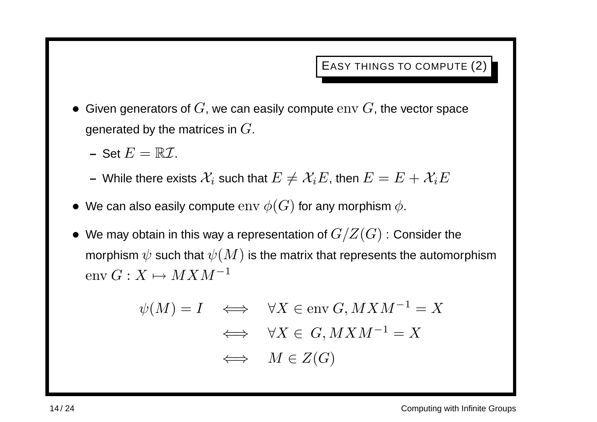- Given generators of  $G$ , we can easily compute  $env$   $G$ , the vector space generated by the matrices in  $G$ .
	- $-$  Set  $E = \mathbb{R} \mathcal{I}$ .
	- **–** While there exists  $\mathcal{X}_i$  such that  $E \neq \mathcal{X}_iE$ , then  $E = E + \mathcal{X}_iE$
- We can also easily compute  $\text{env} \; \phi(G)$  for any morphism  $\phi$ .
- We may obtain in this way a representation of  $G/Z(G)$  : Consider the morphism  $\psi$  such that  $\psi(M)$  is the matrix that represents the automorphism env  $G: X \mapsto M X M^{-1}$

$$
\psi(M) = I \quad \Longleftrightarrow \quad \forall X \in \text{env } G, MXM^{-1} = X
$$

$$
\iff \quad \forall X \in G, MXM^{-1} = X
$$

$$
\iff \quad M \in Z(G)
$$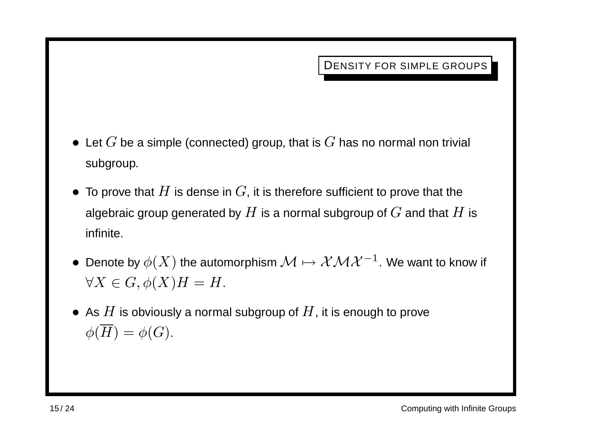DENSITY FOR SIMPLE GROUPS

- Let  $G$  be a simple (connected) group, that is  $G$  has no normal non trivial subgroup.
- To prove that  $H$  is dense in  $G$ , it is therefore sufficient to prove that the algebraic group generated by  $H$  is a normal subgroup of  $G$  and that  $H$  is infinite.
- Denote by  $\phi(X)$  the automorphism  $\mathcal{M} \mapsto \mathcal{X}\mathcal{M} \mathcal{X}^{-1}$ . We want to know if  $\forall X \in G, \phi(X)H = H.$
- As  $H$  is obviously a normal subgroup of  $H$ , it is enough to prove  $\phi(\overline{H}) = \phi(G).$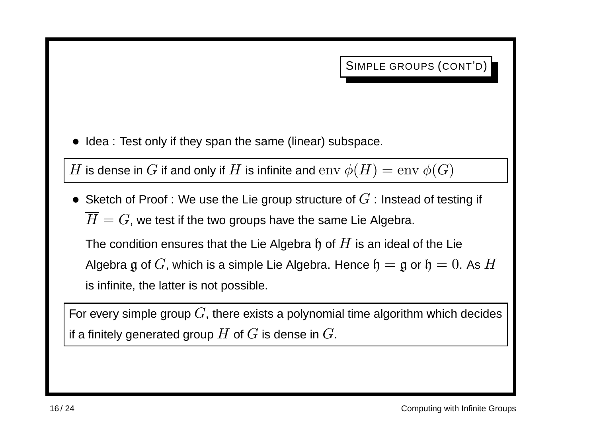• Idea : Test only if they span the same (linear) subspace.

H is dense in G if and only if H is infinite and  $\text{env } \phi(H) = \text{env } \phi(G)$ 

• Sketch of Proof : We use the Lie group structure of  $G$  : Instead of testing if  $\overline{H} = G$ , we test if the two groups have the same Lie Algebra.

The condition ensures that the Lie Algebra  $\mathfrak h$  of  $H$  is an ideal of the Lie Algebra g of G, which is a simple Lie Algebra. Hence  $\mathfrak{h} = \mathfrak{g}$  or  $\mathfrak{h} = 0$ . As H is infinite, the latter is not possible.

For every simple group  $G$ , there exists a polynomial time algorithm which decides if a finitely generated group  $H$  of  $G$  is dense in  $G$ .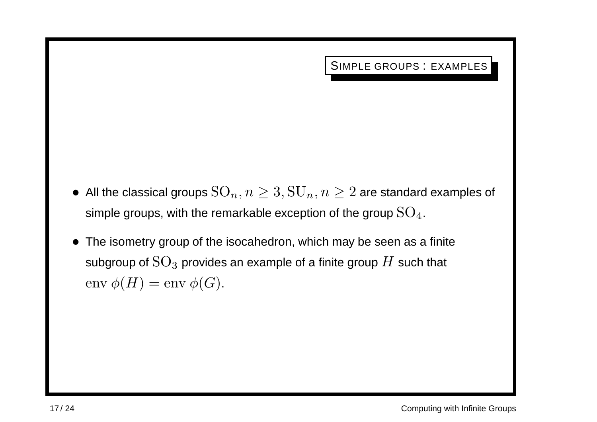SIMPLE GROUPS : EXAMPLES

- All the classical groups  $\mathrm{SO}_n, n \geq 3, \mathrm{SU}_n, n \geq 2$  are standard examples of simple groups, with the remarkable exception of the group  $SO_4$ .
- The isometry group of the isocahedron, which may be seen as <sup>a</sup> finite subgroup of  $\rm SO_3$  provides an example of a finite group  $H$  such that  $env \phi(H) = env \phi(G).$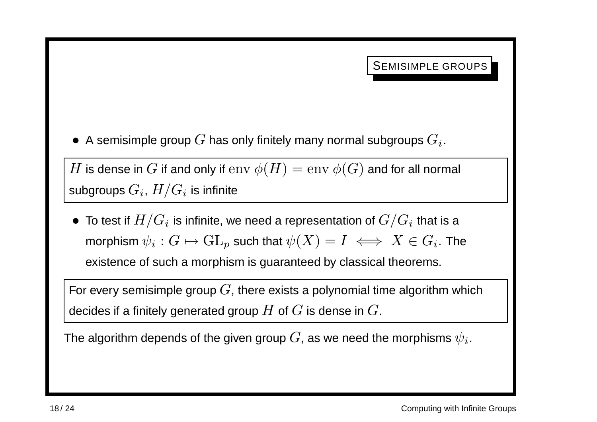SEMISIMPLE GROUPS

• A semisimple group  $G$  has only finitely many normal subgroups  $G_i$ .

H is dense in G if and only if  $\text{env}\ \phi(H) = \text{env}\ \phi(G)$  and for all normal subgroups  $G_i$ ,  $H/G_i$  is infinite

• To test if  $H/G_i$  is infinite, we need a representation of  $G/G_i$  that is a morphism  $\psi_i : G \mapsto \mathrm{GL}_p$  such that  $\psi(X) = I \iff X \in G_i$ . The existence of such <sup>a</sup> morphism is guaranteed by classical theorems.

For every semisimple group  $G$ , there exists a polynomial time algorithm which decides if a finitely generated group  $H$  of  $G$  is dense in  $G$ .

The algorithm depends of the given group  $G$ , as we need the morphisms  $\psi_i$ .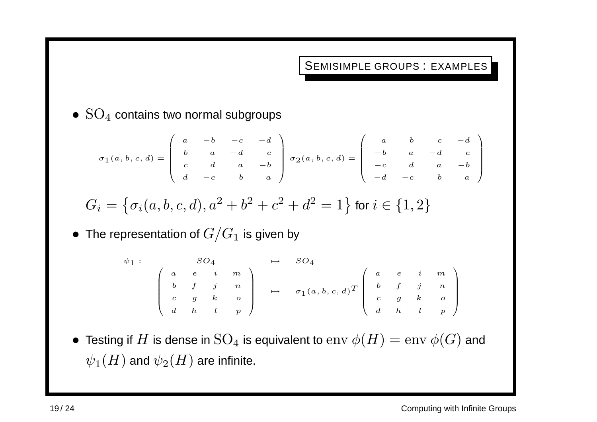SEMISIMPLE GROUPS : EXAMPLES

•  $SO_4$  contains two normal subgroups

$$
\sigma_1(a, b, c, d) = \begin{pmatrix} a & -b & -c & -d \\ b & a & -d & c \\ c & d & a & -b \\ d & -c & b & a \end{pmatrix} \sigma_2(a, b, c, d) = \begin{pmatrix} a & b & c & -d \\ -b & a & -d & c \\ -c & d & a & -b \\ -d & -c & b & a \end{pmatrix}
$$

$$
G_i = \left\{ \sigma_i(a, b, c, d), a^2 + b^2 + c^2 + d^2 = 1 \right\}
$$
 for  $i \in \{1, 2\}$ 

• The representation of  $G/G_1$  is given by

$$
\psi_1 : \qquad SO_4 \qquad \mapsto \qquad SO_4
$$
\n
$$
\begin{pmatrix}\n a & e & i & m \\
b & f & j & n \\
c & g & k & o \\
d & h & l & p\n\end{pmatrix}\n\mapsto \qquad\n\begin{array}{c}\n SO_4 \\
SO_4 \\
\mapsto \qquad \sigma_1(a, b, c, d)^T\n\end{array}\n\begin{pmatrix}\n a & e & i & m \\
b & f & j & n \\
c & g & k & o \\
d & h & l & p\n\end{pmatrix}
$$

• Testing if  $H$  is dense in  ${\rm SO}_4$  is equivalent to  ${\rm env}$   $\phi(H)={\rm env}$   $\phi(G)$  and  $\psi_1(H)$  and  $\psi_2(H)$  are infinite.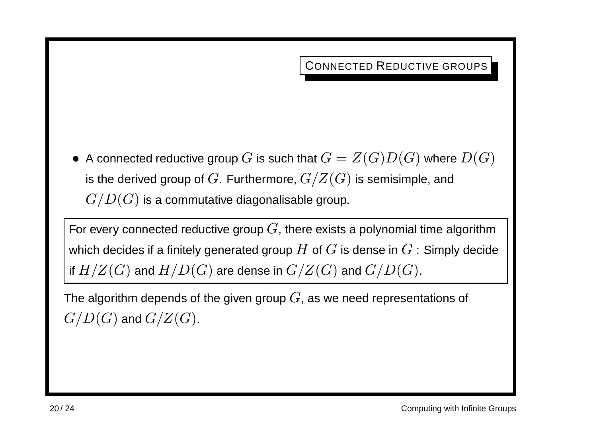CONNECTED REDUCTIVE GROUPS

• A connected reductive group G is such that  $G = Z(G)D(G)$  where  $D(G)$ is the derived group of G. Furthermore,  $G/Z(G)$  is semisimple, and  $G/D(G)$  is a commutative diagonalisable group.

For every connected reductive group  $G$ , there exists a polynomial time algorithm which decides if a finitely generated group  $H$  of  $G$  is dense in  $G$  : Simply decide if  $H/Z(G)$  and  $H/D(G)$  are dense in  $G/Z(G)$  and  $G/D(G)$ .

The algorithm depends of the given group  $G$ , as we need representations of  $G/D(G)$  and  $G/Z(G)$ .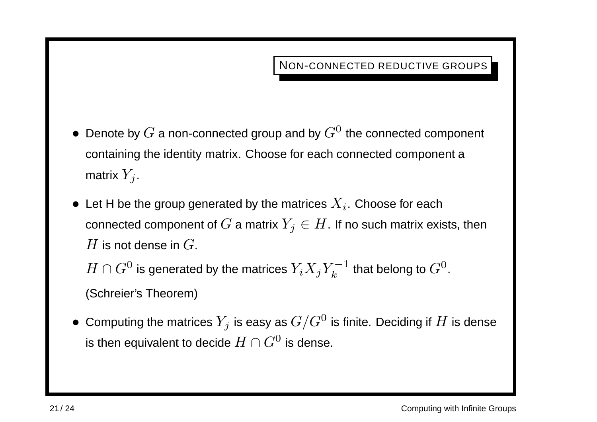NON-CONNECTED REDUCTIVE GROUPS

- Denote by  $G$  a non-connected group and by  $G^0$  the connected component containing the identity matrix. Choose for each connected component <sup>a</sup> matrix  $Y_i$ .
- Let H be the group generated by the matrices  $X_i$ . Choose for each connected component of G a matrix  $Y_i \in H$ . If no such matrix exists, then  $H$  is not dense in  $G$ .

 $H \cap G^0$  is generated by the matrices  $Y_i X_j Y_k^{-1}$  that belong to  $G^0$ . (Schreier's Theorem)

• Computing the matrices  $Y_j$  is easy as  $G/G^0$  is finite. Deciding if  $H$  is dense is then equivalent to decide  $H \cap G^0$  is dense.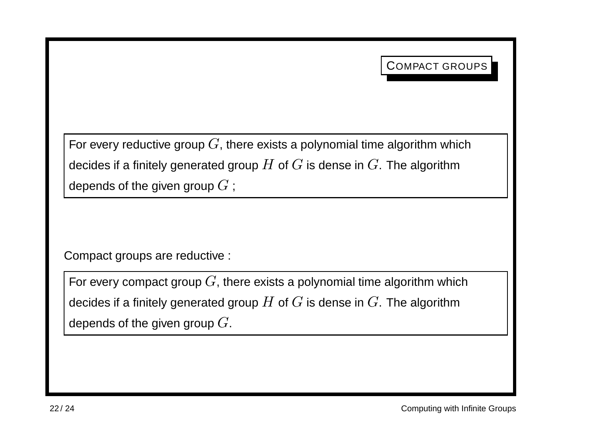For every reductive group  $G$ , there exists a polynomial time algorithm which decides if a finitely generated group  $H$  of  $G$  is dense in  $G$ . The algorithm depends of the given group  $G$ ;

Compact groups are reductive :

For every compact group  $G$ , there exists a polynomial time algorithm which decides if a finitely generated group  $H$  of  $G$  is dense in  $G$ . The algorithm depends of the given group  $G$ .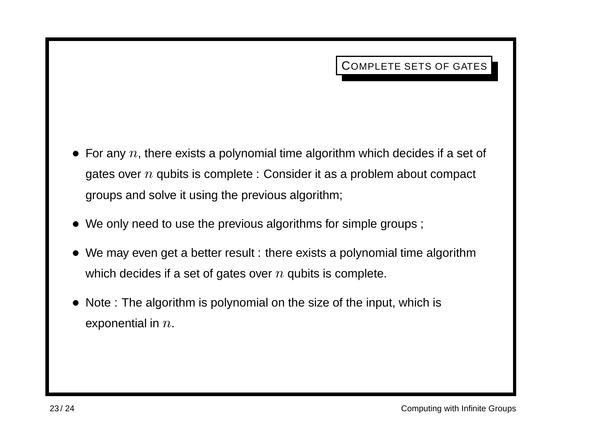- For any  $n$ , there exists a polynomial time algorithm which decides if a set of gates over  $n$  qubits is complete : Consider it as a problem about compact groups and solve it using the previous algorithm;
- We only need to use the previous algorithms for simple groups;
- We may even get a better result : there exists a polynomial time algorithm which decides if a set of gates over  $n$  qubits is complete.
- Note : The algorithm is polynomial on the size of the input, which is exponential in  $n$ .